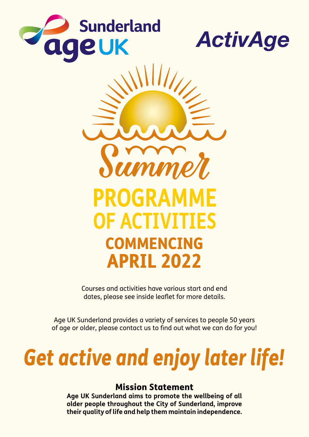





Courses and activities have various start and end dates, please see inside leaflet for more details.

Age UK Sunderland provides a variety of services to people 50 years of age or older, please contact us to find out what we can do for you!

# *Get active and enjoy later life!*

#### Mission Statement

**Age UK Sunderland aims to promote the wellbeing of all older people throughout the City of Sunderland, improve their quality of life and help them maintain independence.**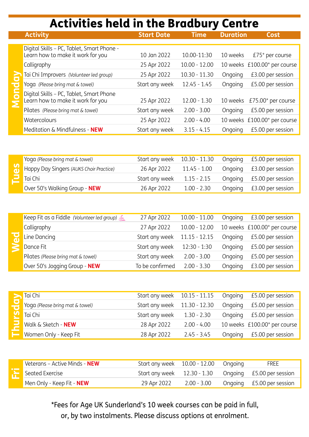## Activities held in the Bradbury Centre

|  | <b>Activity</b>                                                                 | <b>Start Date</b> | <b>Time</b>     | <b>Duration</b> | Cost                         |
|--|---------------------------------------------------------------------------------|-------------------|-----------------|-----------------|------------------------------|
|  |                                                                                 |                   |                 |                 |                              |
|  | Digital Skills - PC, Tablet, Smart Phone -<br>Learn how to make it work for you | 10 Jan 2022       | 10.00-11:30     | 10 weeks        | $£75*$ per course            |
|  | Calligraphy                                                                     | 25 Apr 2022       | $10.00 - 12.00$ |                 | 10 weeks £100.00* per course |
|  | Tai Chi Improvers (Volunteer led group)                                         | 25 Apr 2022       | $10.30 - 11.30$ | Ongoing         | £3.00 per session            |
|  | Yoga (Please bring mat & towel)                                                 | Start any week    | $12.45 - 1.45$  | Ongoing         | £5.00 per session            |
|  | Digital Skills - PC, Tablet, Smart Phone<br>Learn how to make it work for you   | 25 Apr 2022       | $12,00 - 1,30$  | 10 weeks        | £75.00 $*$ per course        |
|  | Pilates (Please bring mat & towel)                                              | Start any week    | $2.00 - 3.00$   | Ongoing         | £5.00 per session            |
|  | Watercolours                                                                    | 25 Apr 2022       | $2.00 - 4.00$   |                 | 10 weeks £100.00* per course |
|  | Meditation & Mindfulness - NEW                                                  | Start any week    | $3.15 - 4.15$   | Ongoing         | £5.00 per session            |

| Yoga (Please bring mat & towel)         | Start any week 10.30 - 11.30 |               | Ongoing £5.00 per session |
|-----------------------------------------|------------------------------|---------------|---------------------------|
| Happy Day Singers (AUKS Choir Practice) | 26 Apr 2022                  | 11.45 - 1.00  | Ongoing £3.00 per session |
| Tai Chi                                 | Start any week               | $1.15 - 2.15$ | Ongoing £5.00 per session |
| Over 50's Walking Group - NEW           | 26 Apr 2022                  | $1.00 - 2.30$ | Ongoing £3.00 per session |

|  | Keep Fit as a Fiddle (Volunteer led group) | 27 Apr 2022     | $10.00 - 11.00$ | Ongoing | £3.00 per session            |
|--|--------------------------------------------|-----------------|-----------------|---------|------------------------------|
|  | Calligraphy                                | 27 Apr 2022     | 10.00 - 12.00   |         | 10 weeks £100.00* per course |
|  | Line Dancing                               | Start any week  | 11.15 - 12.15   | Ongoing | £5.00 per session            |
|  | Dance Fit                                  | Start any week  | 12:30 - 1:30    | Ongoing | £5.00 per session            |
|  | Pilates (Please bring mat & towel)         | Start any week  | $2.00 - 3.00$   | Ongoing | £5.00 per session            |
|  | Over 50's Jogging Group - NEW              | To be confirmed | $2.00 - 3.30$   | Ongoing | £3.00 per session            |

| Tai Chi                         | Start any week 10.15 - 11.15 |               |         | Ongoing £5.00 per session    |
|---------------------------------|------------------------------|---------------|---------|------------------------------|
| Yoga (Please bring mat & towel) | Start any week 11.30 - 12.30 |               |         | Ongoing £5.00 per session    |
| <b>LA</b> Tai Chi               | Start any week               | 1.30 - 2.30   |         | Ongoing £5.00 per session    |
| Walk & Sketch - NEW             | 28 Apr 2022                  | $2.00 - 4.00$ |         | 10 weeks £100.00* per course |
| Women Only - Keep Fit           | 28 Apr 2022                  | $2.45 - 3.45$ | Ongoing | £5.00 per session            |

| Veterans - Active Minds - <b>NEW</b> | Start any week 10.00 - 12.00 Ongoing |             | <b>FREE</b>               |
|--------------------------------------|--------------------------------------|-------------|---------------------------|
| $\leftarrow$ Seated Exercise         |                                      |             |                           |
| Men Only - Keep Fit - NEW            | 29 Apr 2022                          | 2.00 - 3.00 | Ongoing £5.00 per session |

\*Fees for Age UK Sunderland's 10 week courses can be paid in full, or, by two instalments. Please discuss options at enrolment.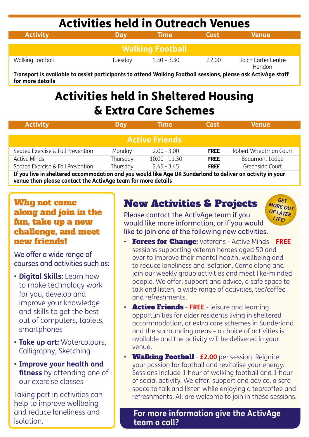## Activities held in Outreach Venues

| <b>Activity</b>         | Dav     | <b>Time</b>   | <b>Cost</b> | <b>Venue</b>                  |  |  |  |
|-------------------------|---------|---------------|-------------|-------------------------------|--|--|--|
|                         |         |               |             |                               |  |  |  |
| <b>Walking Football</b> |         |               |             |                               |  |  |  |
| Walking Football        | Tuesday | $1.30 - 3.30$ | £2.00       | Raich Carter Centre<br>Hendon |  |  |  |

**Transport is available to assist participants to attend Walking Football sessions, please ask ActivAge staff for more details**

## Activities held in Sheltered Housing & Extra Care Schemes

| <b>Activity</b>                                                                                             | Dav      | <b>Time</b>     |             | <b>Venue</b>          |  |  |  |  |
|-------------------------------------------------------------------------------------------------------------|----------|-----------------|-------------|-----------------------|--|--|--|--|
|                                                                                                             |          |                 |             |                       |  |  |  |  |
| ' Active Friends.                                                                                           |          |                 |             |                       |  |  |  |  |
| Seated Exercise & Fall Prevention                                                                           | Monday   | $2.00 - 3.00$   | <b>FREE</b> | Robert Wheatman Court |  |  |  |  |
| Active Minds                                                                                                | Thursday | $10.00 - 11.30$ | <b>FREE</b> | Beaumont Lodge        |  |  |  |  |
| Seated Exercise & Fall Prevention                                                                           | Thursday | $2.45 - 3.45$   | <b>FREE</b> | Greenside Court       |  |  |  |  |
| If you live in sheltered accommodation and you would like Age LIK Sunderland to deliver an activity in your |          |                 |             |                       |  |  |  |  |

**If you live in sheltered accommodation and you would like Age UK Sunderland to deliver an activity in your venue then please contact the ActivAge team for more details**

#### Whu not come along and join in the fun, take up a new challenge, and meet new friends!

We offer a wide range of courses and activities such as:

- **Digital Skills:** Learn how to make technology work for you, develop and improve your knowledge and skills to get the best out of computers, tablets, smartphones
- **Take up art:** Watercolours, Calligraphy, Sketching
- **Improve your health and fitness** by attending one of our exercise classes

Taking part in activities can help to improve wellbeing and reduce loneliness and isolation.

### New Activities & Projects

*GET MORE OUT OF LATER LIFE!*

Please contact the ActivAge team if you would like more information, or if you would like to join one of the following new activities.

- Forces for Change: Veterans Active Minds **FREE** sessions supporting veteran heroes aged 50 and over to improve their mental health, wellbeing and to reduce loneliness and isolation. Come along and join our weekly group activities and meet like-minded people. We offer: support and advice, a safe space to talk and listen, a wide range of activities, tea/coffee and refreshments.
- Active Friends **FREE** leisure and learning opportunities for older residents living in sheltered accommodation, or extra care schemes in Sunderland and the surrounding areas – a choice of activities is available and the activity will be delivered in your venue.
- Walking Football **£2.00** per session. Reignite your passion for football and revitalise your energy. Sessions include 1 hour of walking football and 1 hour of social activity. We offer: support and advice, a safe space to talk and listen while enjoying a tea/coffee and refreshments. All are welcome to join in these sessions.

**For more information give the ActivAge team a call?**